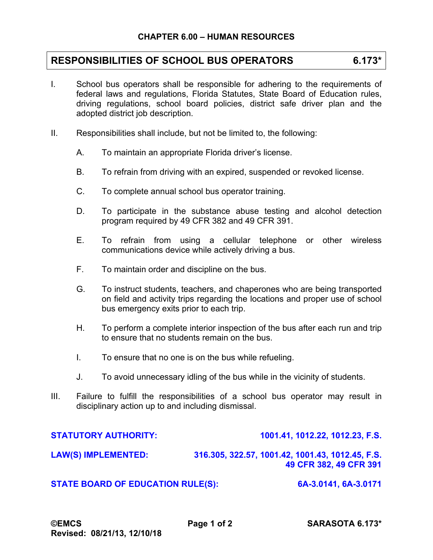## **RESPONSIBILITIES OF SCHOOL BUS OPERATORS 6.173\***

- I. School bus operators shall be responsible for adhering to the requirements of federal laws and regulations, Florida Statutes, State Board of Education rules, driving regulations, school board policies, district safe driver plan and the adopted district job description.
- II. Responsibilities shall include, but not be limited to, the following:
	- A. To maintain an appropriate Florida driver's license.
	- B. To refrain from driving with an expired, suspended or revoked license.
	- C. To complete annual school bus operator training.
	- D. To participate in the substance abuse testing and alcohol detection program required by 49 CFR 382 and 49 CFR 391.
	- E. To refrain from using a cellular telephone or other wireless communications device while actively driving a bus.
	- F. To maintain order and discipline on the bus.
	- G. To instruct students, teachers, and chaperones who are being transported on field and activity trips regarding the locations and proper use of school bus emergency exits prior to each trip.
	- H. To perform a complete interior inspection of the bus after each run and trip to ensure that no students remain on the bus.
	- I. To ensure that no one is on the bus while refueling.
	- J. To avoid unnecessary idling of the bus while in the vicinity of students.
- III. Failure to fulfill the responsibilities of a school bus operator may result in disciplinary action up to and including dismissal.

| <b>STATUTORY AUTHORITY:</b>              | 1001.41, 1012.22, 1012.23, F.S.                                            |
|------------------------------------------|----------------------------------------------------------------------------|
| <b>LAW(S) IMPLEMENTED:</b>               | 316.305, 322.57, 1001.42, 1001.43, 1012.45, F.S.<br>49 CFR 382, 49 CFR 391 |
| <b>STATE BOARD OF EDUCATION RULE(S):</b> | 6A-3.0141, 6A-3.0171                                                       |